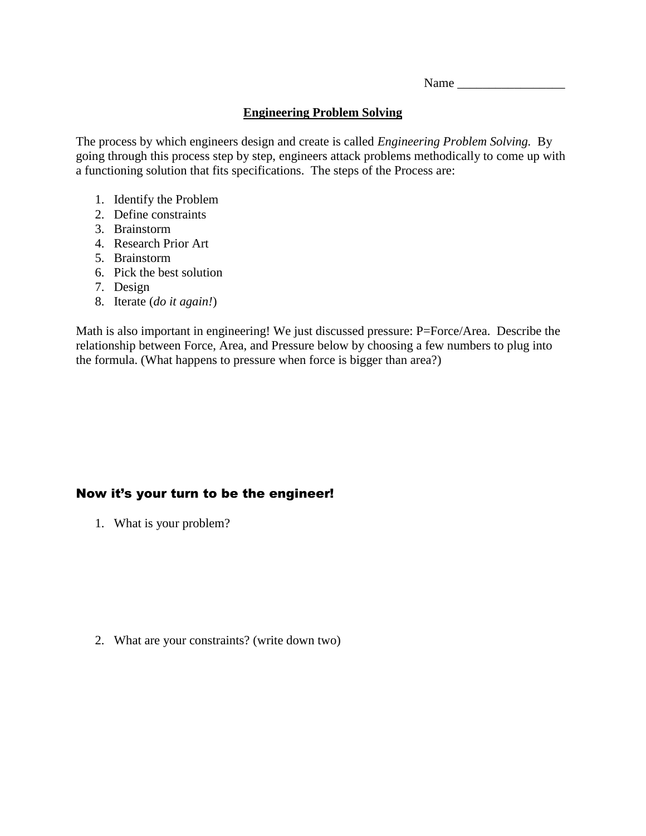Name \_\_\_\_\_\_\_\_\_\_\_\_\_\_\_\_\_

## **Engineering Problem Solving**

The process by which engineers design and create is called *Engineering Problem Solving.* By going through this process step by step, engineers attack problems methodically to come up with a functioning solution that fits specifications. The steps of the Process are:

- 1. Identify the Problem
- 2. Define constraints
- 3. Brainstorm
- 4. Research Prior Art
- 5. Brainstorm
- 6. Pick the best solution
- 7. Design
- 8. Iterate (*do it again!*)

Math is also important in engineering! We just discussed pressure: P=Force/Area. Describe the relationship between Force, Area, and Pressure below by choosing a few numbers to plug into the formula. (What happens to pressure when force is bigger than area?)

## Now it's your turn to be the engineer!

1. What is your problem?

2. What are your constraints? (write down two)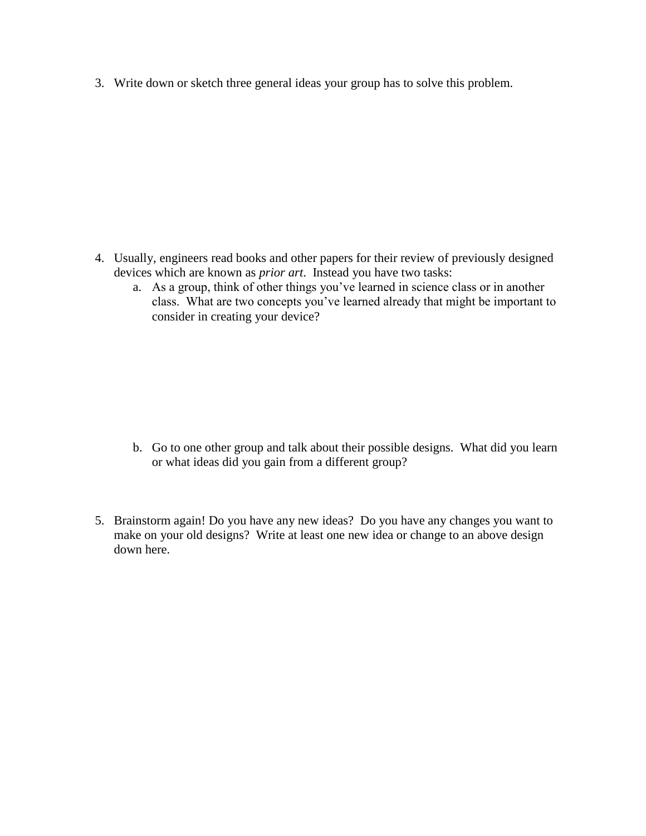3. Write down or sketch three general ideas your group has to solve this problem.

- 4. Usually, engineers read books and other papers for their review of previously designed devices which are known as *prior art*. Instead you have two tasks:
	- a. As a group, think of other things you've learned in science class or in another class. What are two concepts you've learned already that might be important to consider in creating your device?

- b. Go to one other group and talk about their possible designs. What did you learn or what ideas did you gain from a different group?
- 5. Brainstorm again! Do you have any new ideas? Do you have any changes you want to make on your old designs? Write at least one new idea or change to an above design down here.